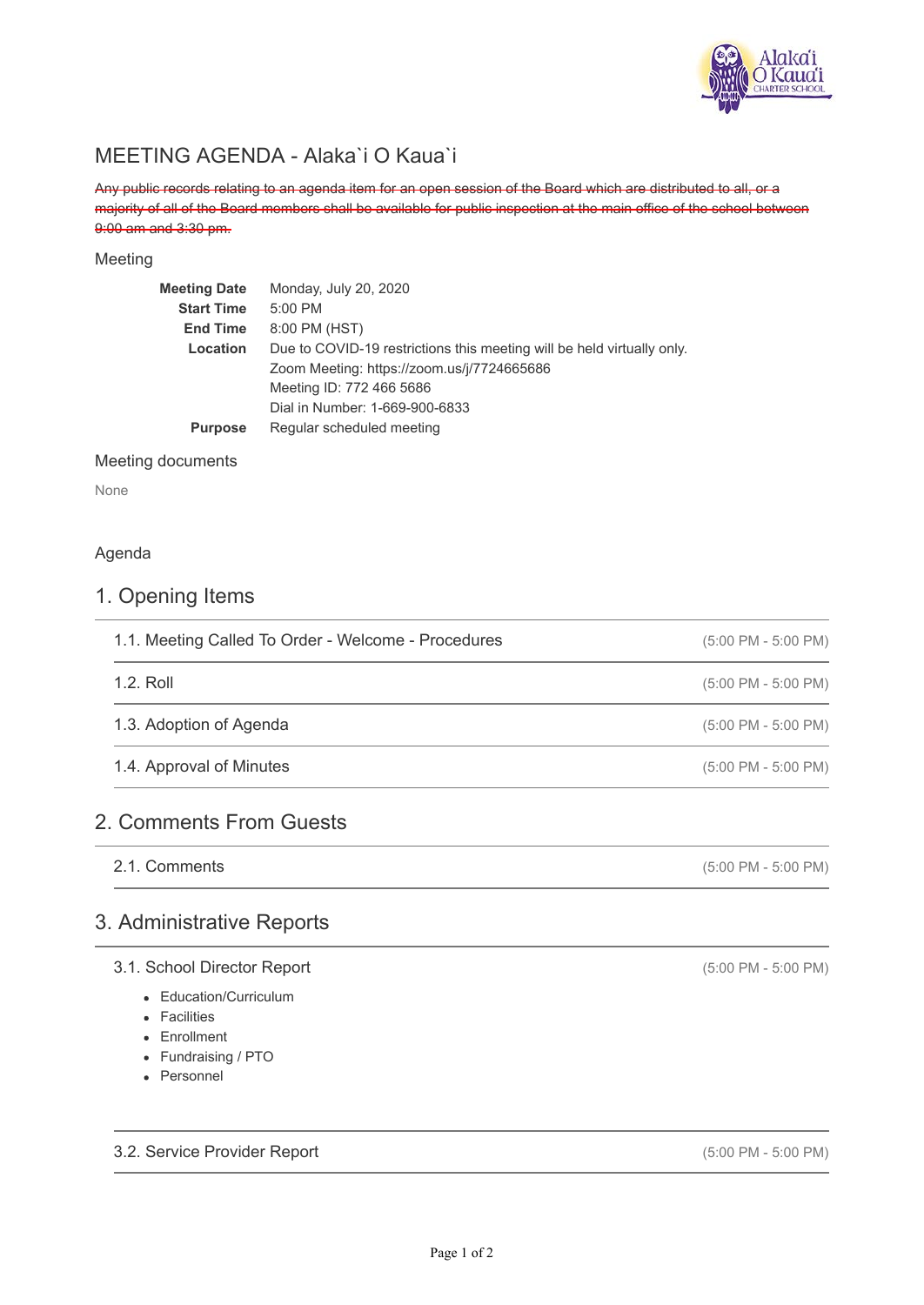

# MEETING AGENDA - Alaka`i O Kaua`i

Any public records relating to an agenda item for an open session of the Board which are distributed to all, or a majority of all of the Board members shall be available for public inspection at the main office of the school between 9:00 am and 3:30 pm.

#### Meeting

| <b>Meeting Date</b> | Monday, July 20, 2020                                                  |
|---------------------|------------------------------------------------------------------------|
| <b>Start Time</b>   | 5:00 PM                                                                |
| <b>End Time</b>     | 8:00 PM (HST)                                                          |
| Location            | Due to COVID-19 restrictions this meeting will be held virtually only. |
|                     | Zoom Meeting: https://zoom.us/j/7724665686                             |
|                     | Meeting ID: 772 466 5686                                               |
|                     | Dial in Number: 1-669-900-6833                                         |
| <b>Purpose</b>      | Regular scheduled meeting                                              |
|                     |                                                                        |

#### Meeting documents

None

#### Agenda

## 1. Opening Items

| 1.1. Meeting Called To Order - Welcome - Procedures | $(5:00 \text{ PM} - 5:00 \text{ PM})$ |
|-----------------------------------------------------|---------------------------------------|
| 1.2. Roll                                           | $(5:00 \text{ PM} - 5:00 \text{ PM})$ |
| 1.3. Adoption of Agenda                             | $(5:00 \text{ PM} - 5:00 \text{ PM})$ |
| 1.4. Approval of Minutes                            | $(5:00 \text{ PM} - 5:00 \text{ PM})$ |
|                                                     |                                       |

# 2. Comments From Guests

(5:00 PM - 5:00 PM) 2.1. Comments

## 3. Administrative Reports

#### 3.1. School Director Report

- Education/Curriculum
- **•** Facilities
- Enrollment
- Fundraising / PTO
- Personnel

3.2. Service Provider Report

(5:00 PM - 5:00 PM)

(5:00 PM - 5:00 PM)